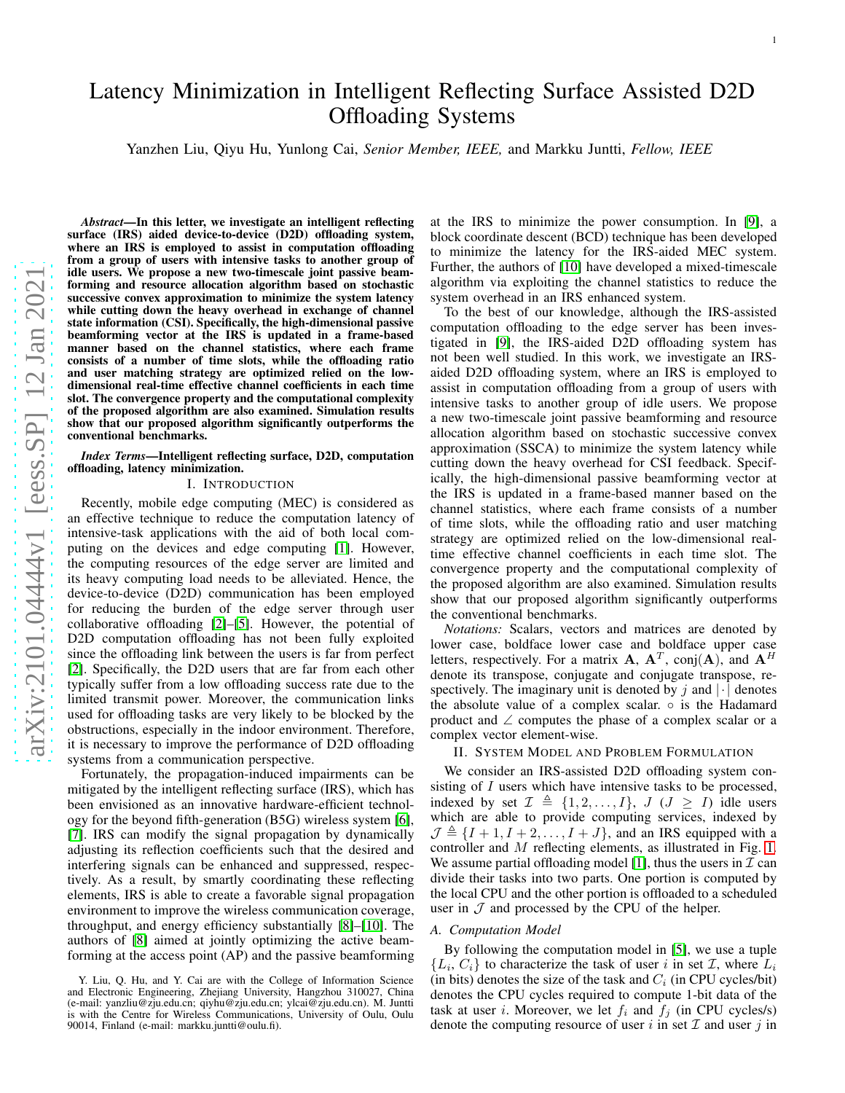# Latency Minimization in Intelligent Reflecting Surface Assisted D2D Offloading Systems

Yanzhen Liu, Qiyu Hu, Yunlong Cai, *Senior Member, IEEE,* and Markku Juntti, *Fellow, IEEE*

*Abstract*—In this letter, we investigate an intelligent reflecting surface (IRS) aided device-to-device (D2D) offloading system, where an IRS is employed to assist in computation offloading from a group of users with intensive tasks to another group of idle users. We propose a new two-timescale joint passive beamforming and resource allocation algorithm based on stochastic successive convex approximation to minimize the system latency while cutting down the heavy overhead in exchange of channel state information (CSI). Specifically, the high-dimensional passive beamforming vector at the IRS is updated in a frame-based manner based on the channel statistics, where each frame consists of a number of time slots, while the offloading ratio and user matching strategy are optimized relied on the lowdimensional real-time effective channel coefficients in each time slot. The convergence property and the computational complexity of the proposed algorithm are also examined. Simulation results show that our proposed algorithm significantly outperforms the conventional benchmarks.

## *Index Terms*—Intelligent reflecting surface, D2D, computation offloading, latency minimization.

### I. INTRODUCTION

Recently, mobile edge computing (MEC) is considered as an effective technique to reduce the computation latency of intensive-task applications with the aid of both local computing on the devices and edge computing [\[1\]](#page-4-0). However, the computing resources of the edge server are limited and its heavy computing load needs to be alleviated. Hence, the device-to-device (D2D) communication has been employed for reducing the burden of the edge server through user collaborative offloading [\[2\]](#page-4-1)–[\[5\]](#page-4-2). However, the potential o f D2D computation offloading has not been fully exploited since the offloading link between the users is far from perfec t [\[2\]](#page-4-1). Specifically, the D2D users that are far from each other typically suffer from a low offloading success rate due to the limited transmit power. Moreover, the communication links used for offloading tasks are very likely to be blocked by the obstructions, especially in the indoor environment. Therefore, it is necessary to improve the performance of D2D offloading systems from a communication perspective.

Fortunately, the propagation-induced impairments can be mitigated by the intelligent reflecting surface (IRS), which has been envisioned as an innovative hardware-efficient technology for the beyond fifth-generation (B5G) wireless system [\[6\]](#page-4-3), [\[7\]](#page-4-4). IRS can modify the signal propagation by dynamically adjusting its reflection coefficients such that the desired and interfering signals can be enhanced and suppressed, respec tively. As a result, by smartly coordinating these reflectin g elements, IRS is able to create a favorable signal propagation environment to improve the wireless communication coverage, throughput, and energy efficiency substantially [\[8\]](#page-4-5)–[\[10\]](#page-4-6). The authors of [\[8\]](#page-4-5) aimed at jointly optimizing the active beamforming at the access point (AP) and the passive beamforming at the IRS to minimize the power consumption. In [\[9\]](#page-4-7), a block coordinate descent (BCD) technique has been develope d to minimize the latency for the IRS-aided MEC system. Further, the authors of [\[10\]](#page-4-6) have developed a mixed-timescale algorithm via exploiting the channel statistics to reduce the system overhead in an IRS enhanced system.

To the best of our knowledge, although the IRS-assisted computation offloading to the edge server has been investigated in [\[9\]](#page-4-7), the IRS-aided D2D offloading system has not been well studied. In this work, we investigate an IRSaided D2D offloading system, where an IRS is employed to assist in computation offloading from a group of users with intensive tasks to another group of idle users. We propose a new two-timescale joint passive beamforming and resource allocation algorithm based on stochastic successive conve x approximation (SSCA) to minimize the system latency while cutting down the heavy overhead for CSI feedback. Specifically, the high-dimensional passive beamforming vector at the IRS is updated in a frame-based manner based on the channel statistics, where each frame consists of a number of time slots, while the offloading ratio and user matching strategy are optimized relied on the low-dimensional realtime effective channel coefficients in each time slot. The convergence property and the computational complexity of the proposed algorithm are also examined. Simulation results show that our proposed algorithm significantly outperforms the conventional benchmarks.

*Notations:* Scalars, vectors and matrices are denoted by lower case, boldface lower case and boldface upper case letters, respectively. For a matrix **A**,  $A<sup>T</sup>$ , conj $(A)$ , and  $A<sup>H</sup>$ denote its transpose, conjugate and conjugate transpose, respectively. The imaginary unit is denoted by  $j$  and  $|\cdot|$  denotes the absolute value of a complex scalar.  $\circ$  is the Hadamard product and ∠ computes the phase of a complex scalar or a complex vector element-wise.

# II. SYSTEM MODEL AND PROBLEM FORMULATION

We consider an IRS-assisted D2D offloading system consisting of I users which have intensive tasks to be processed, indexed by set  $\mathcal{I} \triangleq \{1, 2, ..., I\}$ ,  $J \ (J \geq I)$  idle users which are able to provide computing services, indexed by  $\mathcal{J} \triangleq \{I + 1, I + 2, \ldots, I + J\}$ , and an IRS equipped with a controller and M reflecting elements, as illustrated in Fig. [1.](#page-1-0) We assume partial offloading model [\[1\]](#page-4-0), thus the users in  $\mathcal I$  can divide their tasks into two parts. One portion is computed by the local CPU and the other portion is offloaded to a scheduled user in  $\mathcal J$  and processed by the CPU of the helper.

#### *A. Computation Model*

By following the computation model in [\[5\]](#page-4-2), we use a tuple  $\{L_i, C_i\}$  to characterize the task of user i in set  $\mathcal{I}$ , where  $L_i$ (in bits) denotes the size of the task and  $C_i$  (in CPU cycles/bit) denotes the CPU cycles required to compute 1-bit data of the task at user *i*. Moreover, we let  $f_i$  and  $f_j$  (in CPU cycles/s) denote the computing resource of user  $i$  in set  $\mathcal I$  and user  $j$  in

Y. Liu, Q. Hu, and Y. Cai are with the College of Information Science and Electronic Engineering, Zhejiang University, Hangzhou 310027, China (e-mail: yanzliu@zju.edu.cn; qiyhu@zju.edu.cn; ylcai@zju.edu.cn). M. Juntti is with the Centre for Wireless Communications, University of Oulu, Oulu 90014, Finland (e-mail: markku.juntti@oulu.fi).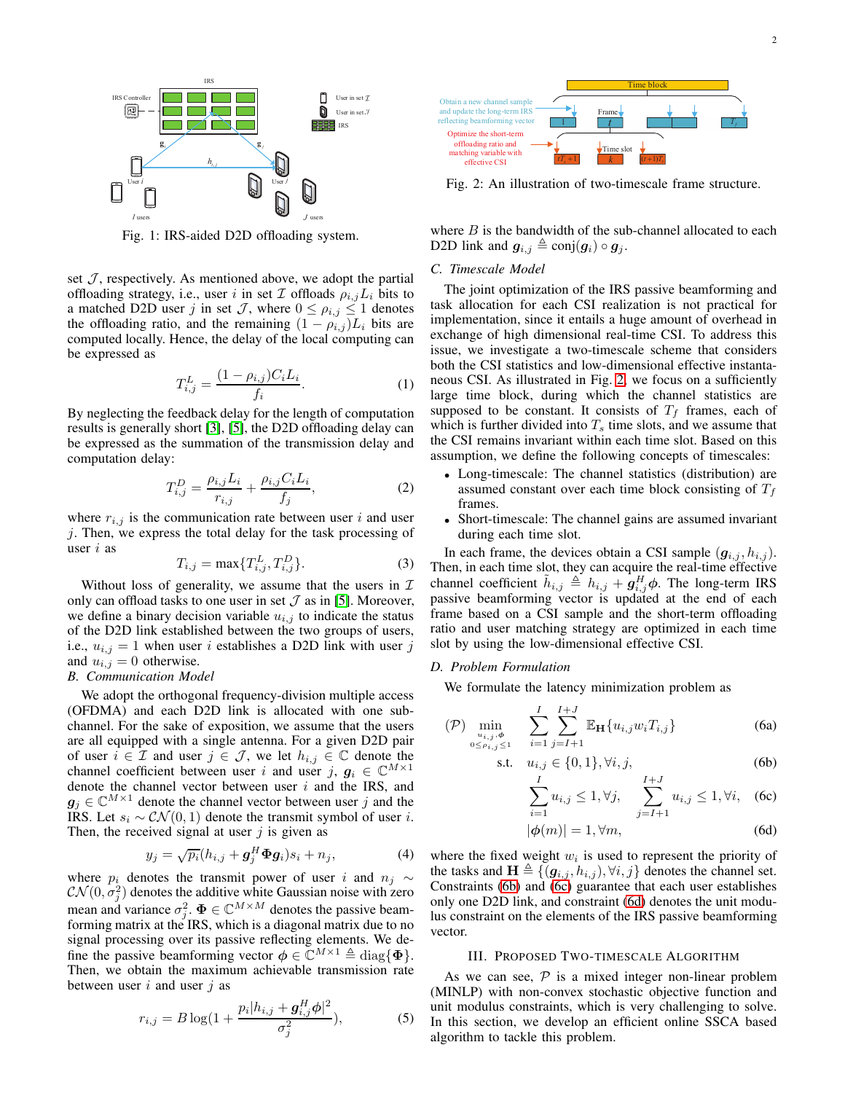<span id="page-1-0"></span>

Fig. 1: IRS-aided D2D offloading system.

set  $J$ , respectively. As mentioned above, we adopt the partial offloading strategy, i.e., user i in set  $\mathcal I$  offloads  $\rho_{i,j}L_i$  bits to a matched D2D user j in set J, where  $0 \le \rho_{i,j} \le 1$  denotes the offloading ratio, and the remaining  $(1 - \rho_{i,j})L_i$  bits are computed locally. Hence, the delay of the local computing can be expressed as

$$
T_{i,j}^{L} = \frac{(1 - \rho_{i,j})C_i L_i}{f_i}.
$$
 (1)

By neglecting the feedback delay for the length of computation results is generally short [\[3\]](#page-4-8), [\[5\]](#page-4-2), the D2D offloading delay can be expressed as the summation of the transmission delay and computation delay:

$$
T_{i,j}^D = \frac{\rho_{i,j} L_i}{r_{i,j}} + \frac{\rho_{i,j} C_i L_i}{f_j},
$$
 (2)

where  $r_{i,j}$  is the communication rate between user i and user j. Then, we express the total delay for the task processing of user  $i$  as

<span id="page-1-5"></span>
$$
T_{i,j} = \max\{T_{i,j}^L, T_{i,j}^D\}.
$$
 (3)

Without loss of generality, we assume that the users in  $\mathcal I$ only can offload tasks to one user in set  $\mathcal I$  as in [\[5\]](#page-4-2). Moreover, we define a binary decision variable  $u_{i,j}$  to indicate the status of the D2D link established between the two groups of users, i.e.,  $u_{i,j} = 1$  when user i establishes a D2D link with user j and  $u_{i,j} = 0$  otherwise.

## *B. Communication Model*

We adopt the orthogonal frequency-division multiple access (OFDMA) and each D2D link is allocated with one subchannel. For the sake of exposition, we assume that the users are all equipped with a single antenna. For a given D2D pair of user  $i \in \mathcal{I}$  and user  $j \in \mathcal{J}$ , we let  $h_{i,j} \in \mathbb{C}$  denote the channel coefficient between user i and user j,  $g_i \in \mathbb{C}^{M \times 1}$ denote the channel vector between user  $i$  and the IRS, and  $g_j \in \mathbb{C}^{M \times 1}$  denote the channel vector between user j and the IRS. Let  $s_i \sim \mathcal{CN}(0, 1)$  denote the transmit symbol of user i. Then, the received signal at user  $j$  is given as

$$
y_j = \sqrt{p_i}(h_{i,j} + \boldsymbol{g}_j^H \boldsymbol{\Phi} \boldsymbol{g}_i) s_i + n_j,
$$
 (4)

where  $p_i$  denotes the transmit power of user i and  $n_j \sim$  $\mathcal{CN}(0, \sigma_j^2)$  denotes the additive white Gaussian noise with zero mean and variance  $\sigma_j^2$ .  $\Phi \in \mathbb{C}^{M \times M}$  denotes the passive beamforming matrix at the IRS, which is a diagonal matrix due to no signal processing over its passive reflecting elements. We define the passive beamforming vector  $\phi \in \mathbb{C}^{M \times 1} \triangleq \text{diag}\{\Phi\}.$ Then, we obtain the maximum achievable transmission rate between user  $i$  and user  $j$  as

$$
r_{i,j} = B \log(1 + \frac{p_i |h_{i,j} + g_{i,j}^H \phi|^2}{\sigma_j^2}),
$$
 (5)

<span id="page-1-1"></span>

Fig. 2: An illustration of two-timescale frame structure.

where  $B$  is the bandwidth of the sub-channel allocated to each D2D link and  $g_{i,j} \triangleq \text{conj}(g_i) \circ g_j$ .

#### *C. Timescale Model*

The joint optimization of the IRS passive beamforming and task allocation for each CSI realization is not practical for implementation, since it entails a huge amount of overhead in exchange of high dimensional real-time CSI. To address this issue, we investigate a two-timescale scheme that considers both the CSI statistics and low-dimensional effective instantaneous CSI. As illustrated in Fig. [2,](#page-1-1) we focus on a sufficiently large time block, during which the channel statistics are supposed to be constant. It consists of  $T_f$  frames, each of which is further divided into  $T_s$  time slots, and we assume that the CSI remains invariant within each time slot. Based on this assumption, we define the following concepts of timescales:

- Long-timescale: The channel statistics (distribution) are assumed constant over each time block consisting of  $T_f$ frames.
- Short-timescale: The channel gains are assumed invariant during each time slot.

In each frame, the devices obtain a CSI sample  $(g_{i,j}, h_{i,j})$ . Then, in each time slot, they can acquire the real-time effective channel coefficient  $\tilde{h}_{i,j} \triangleq h_{i,j} + \tilde{g}_{i,j}^H \phi$ . The long-term IRS passive beamforming vector is updated at the end of each frame based on a CSI sample and the short-term offloading ratio and user matching strategy are optimized in each time slot by using the low-dimensional effective CSI.

#### *D. Problem Formulation*

We formulate the latency minimization problem as

$$
(\mathcal{P}) \min_{\substack{u_{i,j}, \phi \\ 0 \le \rho_{i,j} \le 1}} \sum_{i=1}^{I} \sum_{j=I+1}^{I+J} \mathbb{E}_{\mathbf{H}} \{ u_{i,j} w_i T_{i,j} \}
$$
(6a)

s.t. 
$$
u_{i,j} \in \{0, 1\}, \forall i, j,
$$
 (6b)

<span id="page-1-2"></span>
$$
\sum_{i=1}^{I} u_{i,j} \le 1, \forall j, \quad \sum_{j=I+1}^{I+J} u_{i,j} \le 1, \forall i, \quad (6c)
$$

<span id="page-1-4"></span><span id="page-1-3"></span>
$$
|\phi(m)| = 1, \forall m,\tag{6d}
$$

where the fixed weight  $w_i$  is used to represent the priority of the tasks and  $\mathbf{H} \triangleq \{(\mathbf{g}_{i,j}, h_{i,j}), \forall i, j\}$  denotes the channel set. Constraints [\(6b\)](#page-1-2) and [\(6c\)](#page-1-3) guarantee that each user establishes only one D2D link, and constraint [\(6d\)](#page-1-4) denotes the unit modulus constraint on the elements of the IRS passive beamforming vector.

#### III. PROPOSED TWO-TIMESCALE ALGORITHM

As we can see,  $P$  is a mixed integer non-linear problem (MINLP) with non-convex stochastic objective function and unit modulus constraints, which is very challenging to solve. In this section, we develop an efficient online SSCA based algorithm to tackle this problem.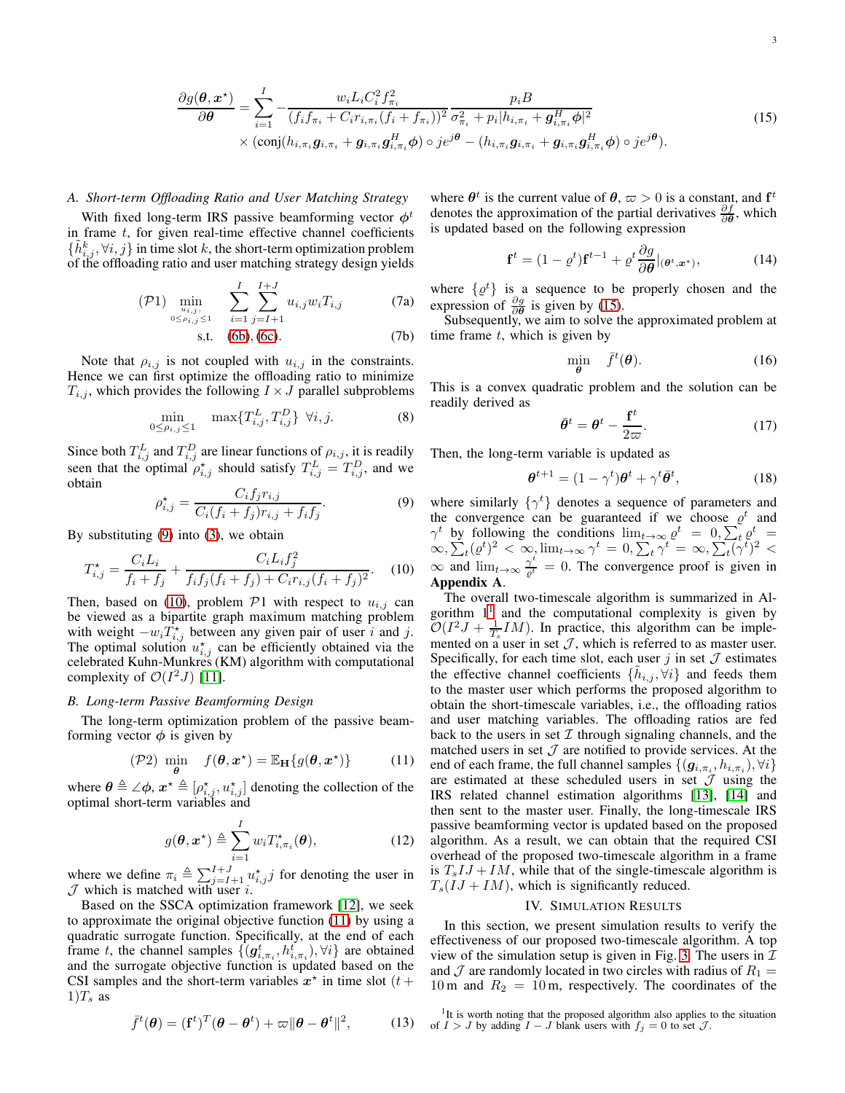# *A. Short-term Offloading Ratio and User Matching Strategy*

With fixed long-term IRS passive beamforming vector  $\phi^t$ in frame  $t$ , for given real-time effective channel coefficients  $\{\tilde{h}_{i,j}^k, \forall i, j\}$  in time slot k, the short-term optimization problem of the offloading ratio and user matching strategy design yields

$$
\text{(P1)} \min_{\substack{u_{i,j},\\0 \le \rho_{i,j} \le 1}} \sum_{i=1}^{I} \sum_{j=I+1}^{I+J} u_{i,j} w_i T_{i,j} \tag{7a}
$$

s.t. 
$$
(6b), (6c)
$$
. (7b)

Note that  $\rho_{i,j}$  is not coupled with  $u_{i,j}$  in the constraints. Hence we can first optimize the offloading ratio to minimize  $T_{i,j}$ , which provides the following  $I \times J$  parallel subproblems

$$
\min_{0 \le \rho_{i,j} \le 1} \quad \max\{T_{i,j}^L, T_{i,j}^D\} \ \forall i, j.
$$
 (8)

Since both  $T_{i,j}^L$  and  $T_{i,j}^D$  are linear functions of  $\rho_{i,j}$ , it is readily seen that the optimal  $\rho_{i,j}^*$  should satisfy  $T_{i,j}^L = T_{i,j}^D$ , and we obtain

<span id="page-2-0"></span>
$$
\rho_{i,j}^* = \frac{C_i f_j r_{i,j}}{C_i (f_i + f_j) r_{i,j} + f_i f_j}.
$$
\n(9)

By substituting [\(9\)](#page-2-0) into [\(3\)](#page-1-5), we obtain

<span id="page-2-1"></span>
$$
T_{i,j}^* = \frac{C_i L_i}{f_i + f_j} + \frac{C_i L_i f_j^2}{f_i f_j (f_i + f_j) + C_i r_{i,j} (f_i + f_j)^2}.
$$
 (10)

Then, based on [\(10\)](#page-2-1), problem  $P1$  with respect to  $u_{i,j}$  can be viewed as a bipartite graph maximum matching problem with weight  $-w_i T_{i,j}^*$  between any given pair of user i and j. The optimal solution  $u_{i,j}^*$  can be efficiently obtained via the celebrated Kuhn-Munkres (KM) algorithm with computational complexity of  $\mathcal{O}(I^2J)$  [\[11\]](#page-4-9).

# *B. Long-term Passive Beamforming Design*

The long-term optimization problem of the passive beamforming vector  $\phi$  is given by

<span id="page-2-2"></span>
$$
(\mathcal{P}2) \min_{\boldsymbol{\theta}} f(\boldsymbol{\theta}, \boldsymbol{x}^{\star}) = \mathbb{E}_{\mathbf{H}}\{g(\boldsymbol{\theta}, \boldsymbol{x}^{\star})\} \tag{11}
$$

where  $\theta \triangleq \angle \phi$ ,  $x^* \triangleq [\rho_{i,j}^*, u_{i,j}^*]$  denoting the collection of the optimal short-term variables and

$$
g(\boldsymbol{\theta}, \boldsymbol{x}^{\star}) \triangleq \sum_{i=1}^{I} w_i T_{i, \pi_i}^{\star}(\boldsymbol{\theta}), \qquad (12)
$$

where we define  $\pi_i \triangleq \sum_{j=I+1}^{I+J} u_{i,j}^* j$  for denoting the user in  $J$  which is matched with user i.

Based on the SSCA optimization framework [\[12\]](#page-4-10), we seek to approximate the original objective function [\(11\)](#page-2-2) by using a quadratic surrogate function. Specifically, at the end of each frame t, the channel samples  $\{(\boldsymbol{g}_{i,\pi_i}^t, h_{i,\pi_i}^t), \forall i\}$  are obtained and the surrogate objective function is updated based on the CSI samples and the short-term variables  $x^*$  in time slot ( $t +$  $1)T_s$  as

<span id="page-2-5"></span>
$$
\bar{f}^t(\boldsymbol{\theta}) = (\mathbf{f}^t)^T (\boldsymbol{\theta} - \boldsymbol{\theta}^t) + \varpi ||\boldsymbol{\theta} - \boldsymbol{\theta}^t||^2, \qquad (13)
$$

where  $\theta^t$  is the current value of  $\theta$ ,  $\varpi > 0$  is a constant, and  $f^t$ denotes the approximation of the partial derivatives  $\frac{\partial f}{\partial \theta}$ , which is updated based on the following expression

<span id="page-2-6"></span><span id="page-2-3"></span>
$$
\mathbf{f}^t = (1 - \varrho^t) \mathbf{f}^{t-1} + \varrho^t \frac{\partial g}{\partial \boldsymbol{\theta}}|_{(\boldsymbol{\theta}^t, \boldsymbol{x}^*)},\tag{14}
$$

where  $\{\varrho^t\}$  is a sequence to be properly chosen and the expression of  $\frac{\partial g}{\partial \theta}$  is given by [\(15\)](#page-2-3).

Subsequently, we aim to solve the approximated problem at time frame  $t$ , which is given by

$$
\min_{\boldsymbol{\theta}} \quad \bar{f}^t(\boldsymbol{\theta}). \tag{16}
$$

This is a convex quadratic problem and the solution can be readily derived as

<span id="page-2-7"></span>
$$
\bar{\theta}^t = \theta^t - \frac{\mathbf{f}^t}{2\varpi}.\tag{17}
$$

Then, the long-term variable is updated as

<span id="page-2-8"></span>
$$
\boldsymbol{\theta}^{t+1} = (1 - \gamma^t)\boldsymbol{\theta}^t + \gamma^t \bar{\boldsymbol{\theta}}^t,\tag{18}
$$

where similarly  $\{\gamma^t\}$  denotes a sequence of parameters and the convergence can be guaranteed if we choose  $\varrho^t$  and  $\gamma^t$  by following the conditions  $\lim_{t\to\infty} \varrho^t = 0$ ,  $\sum_t \varrho^t =$  $\int_{0}^{\infty}\exp\left(\frac{1}{2}t\right)^2 \, < \, \infty, \lim_{t\to\infty}\gamma^t = 0, \sum_{t}\gamma^t = \, \infty, \sum_{t} \left(\gamma^t\right)^2 \, < \, \infty$  $\infty$  and  $\lim_{t\to\infty} \frac{\gamma^t}{e^t} = 0$ . The convergence proof is given in Appendix A.

The overall two-timescale algorithm is summarized in Algorithm  $1<sup>1</sup>$  $1<sup>1</sup>$  and the computational complexity is given by  $\mathcal{O}(I^2 J + \frac{1}{T_s} IM)$ . In practice, this algorithm can be implemented on a user in set  $J$ , which is referred to as master user. Specifically, for each time slot, each user  $j$  in set  $\mathcal J$  estimates the effective channel coefficients  $\{\tilde{h}_{i,j}, \forall i\}$  and feeds them to the master user which performs the proposed algorithm to obtain the short-timescale variables, i.e., the offloading ratios and user matching variables. The offloading ratios are fed back to the users in set  $I$  through signaling channels, and the matched users in set  $J$  are notified to provide services. At the end of each frame, the full channel samples  $\{(\boldsymbol{g}_{i,\pi_i}, h_{i,\pi_i}), \forall i\}$ are estimated at these scheduled users in set  $J$  using the IRS related channel estimation algorithms [\[13\]](#page-4-11), [\[14\]](#page-4-12) and then sent to the master user. Finally, the long-timescale IRS passive beamforming vector is updated based on the proposed algorithm. As a result, we can obtain that the required CSI overhead of the proposed two-timescale algorithm in a frame is  $T_sIJ + IM$ , while that of the single-timescale algorithm is  $T_s(IJ + IM)$ , which is significantly reduced.

#### IV. SIMULATION RESULTS

In this section, we present simulation results to verify the effectiveness of our proposed two-timescale algorithm. A top view of the simulation setup is given in Fig. [3.](#page-3-0) The users in  $\mathcal I$ and  $\mathcal J$  are randomly located in two circles with radius of  $R_1 =$ 10 m and  $R_2 = 10$  m, respectively. The coordinates of the

<span id="page-2-4"></span><sup>1</sup>It is worth noting that the proposed algorithm also applies to the situation of  $I > J$  by adding  $I - J$  blank users with  $f_j = 0$  to set  $J$ .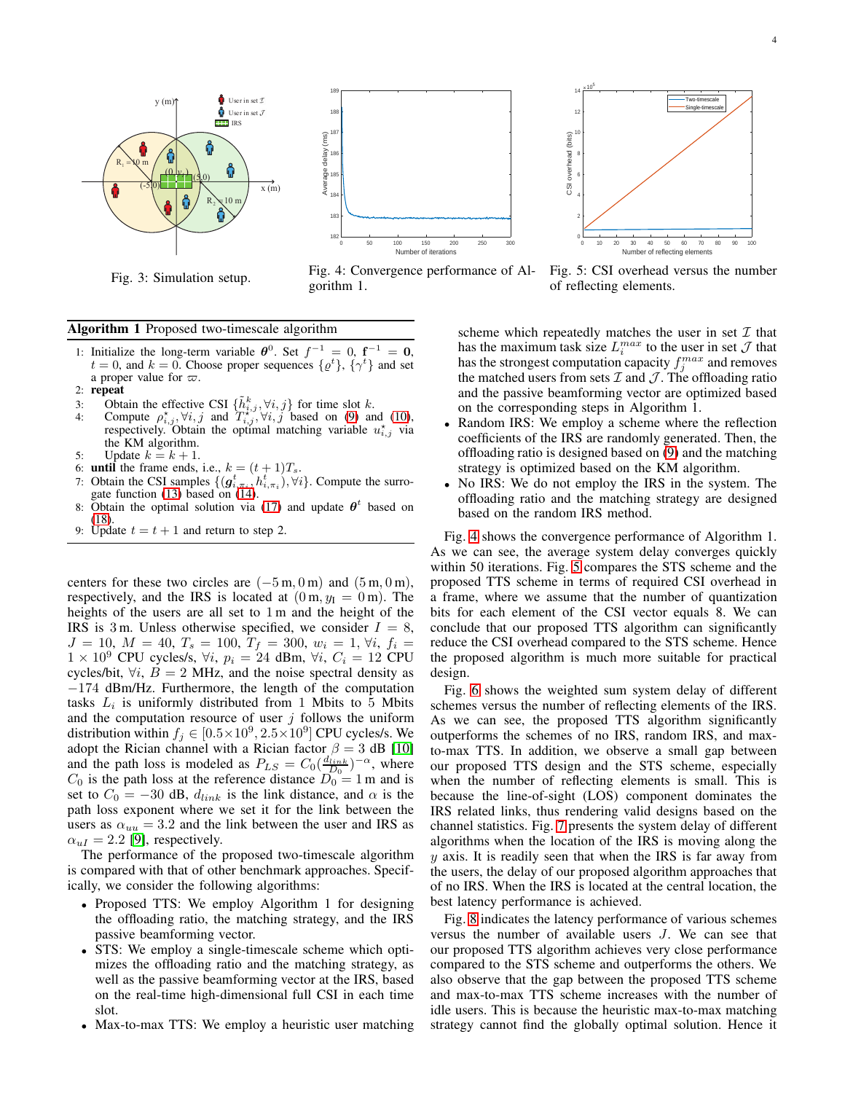<span id="page-3-0"></span>

Fig. 3: Simulation setup.



Fig. 4: Convergence performance of Algorithm 1.



Fig. 5: CSI overhead versus the number of reflecting elements.

#### Algorithm 1 Proposed two-timescale algorithm

- 1: Initialize the long-term variable  $\theta^0$ . Set  $f^{-1} = 0$ ,  $f^{-1} = 0$ ,  $t = 0$ , and  $k = 0$ . Choose proper sequences  $\{\varrho^t\}$ ,  $\{\gamma^t\}$  and set a proper value for  $\varpi$ .
- 2: repeat
- 3: Obtain the effective CSI  $\{\tilde{h}_{i,j}^k, \forall i, j\}$  for time slot k.
- 4: Compute  $\rho_{i,j}^*$ ,  $\forall i, j$  and  $\overline{T_{i,j}^{*}}$ ,  $\forall i, j$  based on [\(9\)](#page-2-0) and [\(10\)](#page-2-1), respectively. Obtain the optimal matching variable  $u_{i,j}^{\star}$  via the KM algorithm.
- 5: Update  $k = k + 1$ .
- 6: **until** the frame ends, i.e.,  $k = (t + 1)T_s$ .
- 7: Obtain the CSI samples  $\{(\mathbf{g}_{i,\pi_i}^t,h_{i,\pi_i}^t),\forall i\}$ . Compute the surrogate function [\(13\)](#page-2-5) based on [\(14\)](#page-2-6).
- 8: Obtain the optimal solution via [\(17\)](#page-2-7) and update  $\theta^t$  based on [\(18\)](#page-2-8).
- 9: Update  $t = t + 1$  and return to step 2.

centers for these two circles are  $(-5 \text{ m}, 0 \text{ m})$  and  $(5 \text{ m}, 0 \text{ m})$ , respectively, and the IRS is located at  $(0 \text{ m}, y_I = 0 \text{ m})$ . The heights of the users are all set to 1 m and the height of the IRS is 3 m. Unless otherwise specified, we consider  $I = 8$ ,  $J = 10, M = 40, T_s = 100, T_f = 300, w_i = 1, \forall i, f_i =$  $1 \times 10^9$  CPU cycles/s,  $\forall i, p_i = 24$  dBm,  $\forall i, C_i = 12$  CPU cycles/bit,  $\forall i$ ,  $B = 2$  MHz, and the noise spectral density as −174 dBm/Hz. Furthermore, the length of the computation tasks  $L_i$  is uniformly distributed from 1 Mbits to 5 Mbits and the computation resource of user  $j$  follows the uniform distribution within  $f_j \in [0.5 \times 10^9, 2.5 \times 10^9]$  CPU cycles/s. We adopt the Rician channel with a Rician factor  $\beta = 3$  dB [\[10\]](#page-4-6) and the path loss is modeled as  $P_{LS} = C_0 \left( \frac{d_{link}}{D_0} \right)^{-\alpha}$ , where  $C_0$  is the path loss at the reference distance  $D_0 = 1$  m and is set to  $C_0 = -30$  dB,  $d_{link}$  is the link distance, and  $\alpha$  is the path loss exponent where we set it for the link between the users as  $\alpha_{uu} = 3.2$  and the link between the user and IRS as  $\alpha_{uI} = 2.2$  [\[9\]](#page-4-7), respectively.

The performance of the proposed two-timescale algorithm is compared with that of other benchmark approaches. Specifically, we consider the following algorithms:

- Proposed TTS: We employ Algorithm 1 for designing the offloading ratio, the matching strategy, and the IRS passive beamforming vector.
- STS: We employ a single-timescale scheme which optimizes the offloading ratio and the matching strategy, as well as the passive beamforming vector at the IRS, based on the real-time high-dimensional full CSI in each time slot.
- Max-to-max TTS: We employ a heuristic user matching

scheme which repeatedly matches the user in set  $\mathcal I$  that has the maximum task size  $L_i^{max}$  to the user in set  $\mathcal J$  that has the strongest computation capacity  $f_j^{max}$  and removes the matched users from sets  $\mathcal I$  and  $\mathcal J$ . The offloading ratio and the passive beamforming vector are optimized based on the corresponding steps in Algorithm 1.

- Random IRS: We employ a scheme where the reflection coefficients of the IRS are randomly generated. Then, the offloading ratio is designed based on [\(9\)](#page-2-0) and the matching strategy is optimized based on the KM algorithm.
- No IRS: We do not employ the IRS in the system. The offloading ratio and the matching strategy are designed based on the random IRS method.

Fig. [4](#page-3-0) shows the convergence performance of Algorithm 1. As we can see, the average system delay converges quickly within 50 iterations. Fig. [5](#page-3-0) compares the STS scheme and the proposed TTS scheme in terms of required CSI overhead in a frame, where we assume that the number of quantization bits for each element of the CSI vector equals 8. We can conclude that our proposed TTS algorithm can significantly reduce the CSI overhead compared to the STS scheme. Hence the proposed algorithm is much more suitable for practical design.

Fig. [6](#page-4-13) shows the weighted sum system delay of different schemes versus the number of reflecting elements of the IRS. As we can see, the proposed TTS algorithm significantly outperforms the schemes of no IRS, random IRS, and maxto-max TTS. In addition, we observe a small gap between our proposed TTS design and the STS scheme, especially when the number of reflecting elements is small. This is because the line-of-sight (LOS) component dominates the IRS related links, thus rendering valid designs based on the channel statistics. Fig. [7](#page-4-13) presents the system delay of different algorithms when the location of the IRS is moving along the  $y$  axis. It is readily seen that when the IRS is far away from the users, the delay of our proposed algorithm approaches that of no IRS. When the IRS is located at the central location, the best latency performance is achieved.

Fig. [8](#page-4-13) indicates the latency performance of various schemes versus the number of available users J. We can see that our proposed TTS algorithm achieves very close performance compared to the STS scheme and outperforms the others. We also observe that the gap between the proposed TTS scheme and max-to-max TTS scheme increases with the number of idle users. This is because the heuristic max-to-max matching strategy cannot find the globally optimal solution. Hence it